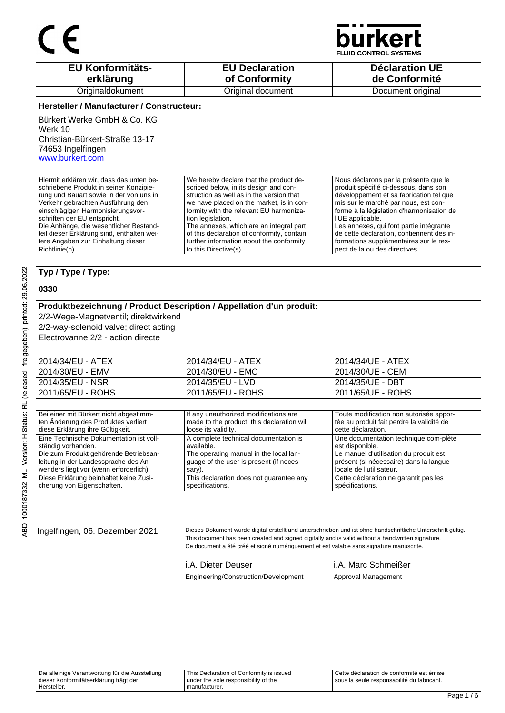

**JID CONTROL SYSTEMS** 

| <b>EU Konformitäts-</b> | <b>EU Declaration</b> | <b>Déclaration UE</b> |
|-------------------------|-----------------------|-----------------------|
| erklärung               | of Conformity         | de Conformité         |
| Originaldokument        | Original document     | Document original     |

### **Hersteller / Manufacturer / Constructeur:**

Bürkert Werke GmbH & Co. KG Werk 10 Christian-Bürkert-Straße 13-17 74653 Ingelfingen www.burkert.com

Hiermit erklären wir, dass das unten beschriebene Produkt in seiner Konzipierung und Bauart sowie in der von uns in Verkehr gebrachten Ausführung den einschlägigen Harmonisierungsvorschriften der EU entspricht. Die Anhänge, die wesentlicher Bestandteil dieser Erklärung sind, enthalten weitere Angaben zur Einhaltung dieser Richtlinie(n). We hereby declare that the product described below, in its design and construction as well as in the version that we have placed on the market, is in conformity with the relevant EU harmonization legislation. The annexes, which are an integral part of this declaration of conformity, contain further information about the conformity to this Directive(s). Nous déclarons par la présente que le produit spécifié ci-dessous, dans son développement et sa fabrication tel que mis sur le marché par nous, est conforme à la législation d'harmonisation de l'UE applicable. Les annexes, qui font partie intégrante de cette déclaration, contiennent des informations supplémentaires sur le respect de la ou des directives.

### **Typ / Type / Type:**

### **0330**

#### **Produktbezeichnung / Product Description / Appellation d'un produit:**

2/2-Wege-Magnetventil; direktwirkend

2/2-way-solenoid valve; direct acting

Electrovanne 2/2 - action directe

| 2014/34/EU - ATEX | 2014/34/EU - ATEX | 2014/34/UE - ATEX |
|-------------------|-------------------|-------------------|
| 2014/30/EU - EMV  | 2014/30/EU - EMC  | 2014/30/UE - CEM  |
| 2014/35/EU - NSR  | 2014/35/EU - LVD  | 2014/35/UE - DBT  |
| 2011/65/EU - ROHS | 2011/65/EU - ROHS | 2011/65/UE - ROHS |
|                   |                   |                   |

| Bei einer mit Bürkert nicht abgestimm-  | If any unauthorized modifications are      | Toute modification non autorisée appor-   |
|-----------------------------------------|--------------------------------------------|-------------------------------------------|
| ten Änderung des Produktes verliert     | made to the product, this declaration will | tée au produit fait perdre la validité de |
| diese Erklärung ihre Gültigkeit.        | loose its validity.                        | cette déclaration.                        |
| Eine Technische Dokumentation ist voll- | A complete technical documentation is      | Une documentation technique com-plète     |
| ständig vorhanden.                      | available.                                 | est disponible.                           |
| Die zum Produkt gehörende Betriebsan-   | The operating manual in the local lan-     | Le manuel d'utilisation du produit est    |
| leitung in der Landessprache des An-    | guage of the user is present (if neces-    | présent (si nécessaire) dans la langue    |
| wenders liegt vor (wenn erforderlich).  | sary).                                     | locale de l'utilisateur.                  |
| Diese Erklärung beinhaltet keine Zusi-  | This declaration does not guarantee any    | Cette déclaration ne garantit pas les     |
| cherung von Eigenschaften.              | specifications.                            | spécifications.                           |

Ingelfingen, 06. Dezember 2021 Dieses Dokument wurde digital erstellt und unterschrieben und ist ohne handschriftliche Unterschrift gültig. This document has been created and signed digitally and is valid without a handwritten signature. Ce document a été créé et signé numériquement et est valable sans signature manuscrite.

i.A. Dieter Deuser i.A. Marc Schmeißer

Engineering/Construction/Development Approval Management

Die alleinige Verantwortung für die Ausstellung dieser Konformitätserklärung trägt der Hersteller. This Declaration of Conformity is issued under the sole responsibility of the manufacturer. Cette déclaration de conformité est émise sous la seule responsabilité du fabricant.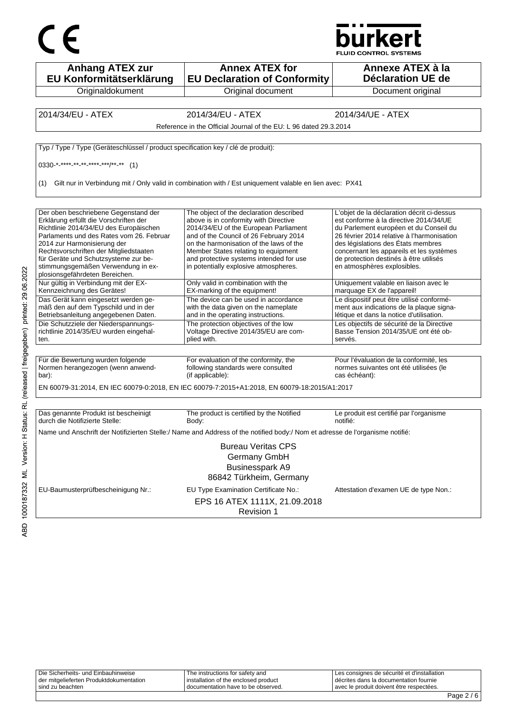

|                                                                                                                                                                                                                                                                                                                                                               |                                                                                                                                                                                                                                                                                                                                           | burkert<br><b>FLUID CONTROL SYSTEMS</b>                                                                                                                                                                                                                                                                                                 |
|---------------------------------------------------------------------------------------------------------------------------------------------------------------------------------------------------------------------------------------------------------------------------------------------------------------------------------------------------------------|-------------------------------------------------------------------------------------------------------------------------------------------------------------------------------------------------------------------------------------------------------------------------------------------------------------------------------------------|-----------------------------------------------------------------------------------------------------------------------------------------------------------------------------------------------------------------------------------------------------------------------------------------------------------------------------------------|
| <b>Anhang ATEX zur</b><br>EU Konformitätserklärung                                                                                                                                                                                                                                                                                                            | <b>Annex ATEX for</b><br><b>EU Declaration of Conformity</b>                                                                                                                                                                                                                                                                              | Annexe ATEX à la<br><b>Déclaration UE de</b>                                                                                                                                                                                                                                                                                            |
| Originaldokument                                                                                                                                                                                                                                                                                                                                              | Original document                                                                                                                                                                                                                                                                                                                         | Document original                                                                                                                                                                                                                                                                                                                       |
| 2014/34/EU - ATEX                                                                                                                                                                                                                                                                                                                                             | 2014/34/EU - ATEX<br>Reference in the Official Journal of the EU: L 96 dated 29.3.2014                                                                                                                                                                                                                                                    | 2014/34/UE - ATEX                                                                                                                                                                                                                                                                                                                       |
| Typ / Type / Type (Geräteschlüssel / product specification key / clé de produit):<br>$0330$ <sup>*</sup> **** ** ** **** ***/** ** (1)                                                                                                                                                                                                                        |                                                                                                                                                                                                                                                                                                                                           |                                                                                                                                                                                                                                                                                                                                         |
|                                                                                                                                                                                                                                                                                                                                                               | (1) Gilt nur in Verbindung mit / Only valid in combination with / Est uniquement valable en lien avec: PX41                                                                                                                                                                                                                               |                                                                                                                                                                                                                                                                                                                                         |
| Der oben beschriebene Gegenstand der<br>Erklärung erfüllt die Vorschriften der<br>Richtlinie 2014/34/EU des Europäischen<br>Parlaments und des Rates vom 26. Februar<br>2014 zur Harmonisierung der<br>Rechtsvorschriften der Mitgliedstaaten<br>für Geräte und Schutzsysteme zur be-<br>stimmungsgemäßen Verwendung in ex-<br>plosionsgefährdeten Bereichen. | The object of the declaration described<br>above is in conformity with Directive<br>2014/34/EU of the European Parliament<br>and of the Council of 26 February 2014<br>on the harmonisation of the laws of the<br>Member States relating to equipment<br>and protective systems intended for use<br>in potentially explosive atmospheres. | L'objet de la déclaration décrit ci-dessus<br>est conforme à la directive 2014/34/UE<br>du Parlement européen et du Conseil du<br>26 février 2014 relative à l'harmonisation<br>des législations des États membres<br>concernant les appareils et les systèmes<br>de protection destinés à être utilisés<br>en atmosphères explosibles. |
| Nur gültig in Verbindung mit der EX-<br>Kennzeichnung des Gerätes!<br>Das Gerät kann eingesetzt werden ge-<br>mäß den auf dem Typschild und in der                                                                                                                                                                                                            | Only valid in combination with the<br>EX-marking of the equipment!<br>The device can be used in accordance<br>with the data given on the nameplate                                                                                                                                                                                        | Uniquement valable en liaison avec le<br>marquage EX de l'appareil!<br>Le dispositif peut être utilisé conformé-<br>ment aux indications de la plaque signa-                                                                                                                                                                            |
| Betriebsanleitung angegebenen Daten.<br>Die Schutzziele der Niederspannungs-<br>richtlinie 2014/35/EU wurden eingehal-<br>ten.                                                                                                                                                                                                                                | and in the operating instructions.<br>The protection objectives of the low<br>Voltage Directive 2014/35/EU are com-<br>plied with.                                                                                                                                                                                                        | létique et dans la notice d'utilisation.<br>Les objectifs de sécurité de la Directive<br>Basse Tension 2014/35/UE ont été ob-<br>servés.                                                                                                                                                                                                |
| Für die Bewertung wurden folgende<br>Normen herangezogen (wenn anwend-<br>bar):                                                                                                                                                                                                                                                                               | For evaluation of the conformity, the<br>following standards were consulted<br>(if applicable):                                                                                                                                                                                                                                           | Pour l'évaluation de la conformité, les<br>normes suivantes ont été utilisées (le<br>cas échéant):                                                                                                                                                                                                                                      |
|                                                                                                                                                                                                                                                                                                                                                               | EN 60079-31:2014, EN IEC 60079-0:2018, EN IEC 60079-7:2015+A1:2018, EN 60079-18:2015/A1:2017                                                                                                                                                                                                                                              |                                                                                                                                                                                                                                                                                                                                         |
| Das genannte Produkt ist bescheinigt<br>durch die Notifizierte Stelle:                                                                                                                                                                                                                                                                                        | The product is certified by the Notified<br>Body:<br>Name und Anschrift der Notifizierten Stelle:/ Name and Address of the notified body:/ Nom et adresse de l'organisme notifié:                                                                                                                                                         | Le produit est certifié par l'organisme<br>notifié:                                                                                                                                                                                                                                                                                     |
| EU-Baumusterprüfbescheinigung Nr.:                                                                                                                                                                                                                                                                                                                            | <b>Bureau Veritas CPS</b><br>Germany GmbH<br><b>Businesspark A9</b><br>86842 Türkheim, Germany<br>EU Type Examination Certificate No.:<br>EPS 16 ATEX 1111X, 21.09.2018<br>Revision 1                                                                                                                                                     | Attestation d'examen UE de type Non.:                                                                                                                                                                                                                                                                                                   |

 $\overline{L}$ 

| avec le produit doivent être respectées.<br>sind zu beachten<br>documentation have to be observed.                            |  |
|-------------------------------------------------------------------------------------------------------------------------------|--|
| l installation of the enclosed product<br>der mitgelieferten Produktdokumentation<br>I décrites dans la documentation fournie |  |
| Die Sicherheits- und Einbauhinweise<br>I Les consignes de sécurité et d'installation<br>The instructions for safety and       |  |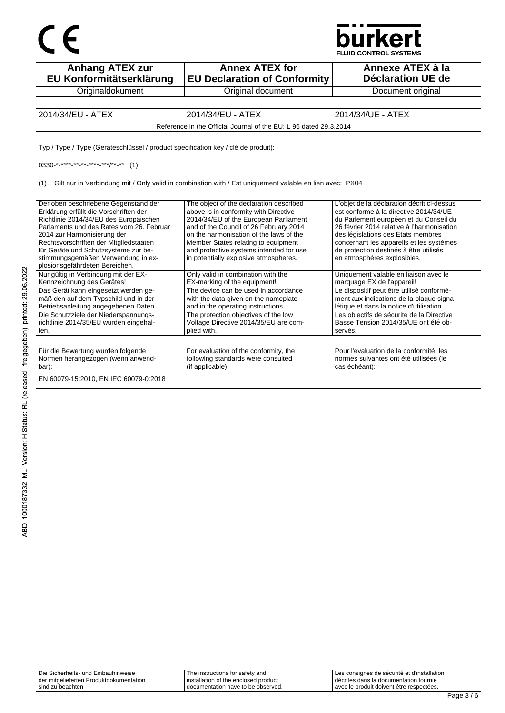



| <b>Anhang ATEX zur</b><br>EU Konformitätserklärung                                                                                                                                                                                                                                                                          | <b>Annex ATEX for</b><br><b>EU Declaration of Conformity</b>                                                                                                                                                                                                                                                                              | Annexe ATEX à la<br>Déclaration UE de                                                                                                                                                                                                                                                                                                   |
|-----------------------------------------------------------------------------------------------------------------------------------------------------------------------------------------------------------------------------------------------------------------------------------------------------------------------------|-------------------------------------------------------------------------------------------------------------------------------------------------------------------------------------------------------------------------------------------------------------------------------------------------------------------------------------------|-----------------------------------------------------------------------------------------------------------------------------------------------------------------------------------------------------------------------------------------------------------------------------------------------------------------------------------------|
| Originaldokument                                                                                                                                                                                                                                                                                                            | Original document                                                                                                                                                                                                                                                                                                                         | Document original                                                                                                                                                                                                                                                                                                                       |
|                                                                                                                                                                                                                                                                                                                             |                                                                                                                                                                                                                                                                                                                                           |                                                                                                                                                                                                                                                                                                                                         |
| 2014/34/EU - ATEX                                                                                                                                                                                                                                                                                                           | 2014/34/EU - ATEX                                                                                                                                                                                                                                                                                                                         | 2014/34/UE - ATEX                                                                                                                                                                                                                                                                                                                       |
|                                                                                                                                                                                                                                                                                                                             | Reference in the Official Journal of the EU: L 96 dated 29.3.2014                                                                                                                                                                                                                                                                         |                                                                                                                                                                                                                                                                                                                                         |
| Typ / Type / Type (Geräteschlüssel / product specification key / clé de produit):                                                                                                                                                                                                                                           |                                                                                                                                                                                                                                                                                                                                           |                                                                                                                                                                                                                                                                                                                                         |
|                                                                                                                                                                                                                                                                                                                             |                                                                                                                                                                                                                                                                                                                                           |                                                                                                                                                                                                                                                                                                                                         |
| $0330^{-*}$ **** ** ** **** ***/** ** (1)                                                                                                                                                                                                                                                                                   |                                                                                                                                                                                                                                                                                                                                           |                                                                                                                                                                                                                                                                                                                                         |
|                                                                                                                                                                                                                                                                                                                             |                                                                                                                                                                                                                                                                                                                                           |                                                                                                                                                                                                                                                                                                                                         |
| (1)                                                                                                                                                                                                                                                                                                                         | Gilt nur in Verbindung mit / Only valid in combination with / Est uniquement valable en lien avec: PX04                                                                                                                                                                                                                                   |                                                                                                                                                                                                                                                                                                                                         |
| Der oben beschriebene Gegenstand der<br>Erklärung erfüllt die Vorschriften der<br>Richtlinie 2014/34/EU des Europäischen<br>Parlaments und des Rates vom 26. Februar<br>2014 zur Harmonisierung der<br>Rechtsvorschriften der Mitgliedstaaten<br>für Geräte und Schutzsysteme zur be-<br>stimmungsgemäßen Verwendung in ex- | The object of the declaration described<br>above is in conformity with Directive<br>2014/34/EU of the European Parliament<br>and of the Council of 26 February 2014<br>on the harmonisation of the laws of the<br>Member States relating to equipment<br>and protective systems intended for use<br>in potentially explosive atmospheres. | L'objet de la déclaration décrit ci-dessus<br>est conforme à la directive 2014/34/UE<br>du Parlement européen et du Conseil du<br>26 février 2014 relative à l'harmonisation<br>des législations des États membres<br>concernant les appareils et les systèmes<br>de protection destinés à être utilisés<br>en atmosphères explosibles. |
| plosionsgefährdeten Bereichen.<br>Nur gültig in Verbindung mit der EX-<br>Kennzeichnung des Gerätes!                                                                                                                                                                                                                        | Only valid in combination with the<br>EX-marking of the equipment!                                                                                                                                                                                                                                                                        | Uniquement valable en liaison avec le<br>marquage EX de l'appareil!                                                                                                                                                                                                                                                                     |
| Das Gerät kann eingesetzt werden ge-<br>mäß den auf dem Typschild und in der<br>Betriebsanleitung angegebenen Daten.                                                                                                                                                                                                        | The device can be used in accordance<br>with the data given on the nameplate<br>and in the operating instructions.                                                                                                                                                                                                                        | Le dispositif peut être utilisé conformé-<br>ment aux indications de la plaque signa-<br>létique et dans la notice d'utilisation.                                                                                                                                                                                                       |
| Die Schutzziele der Niederspannungs-<br>richtlinie 2014/35/EU wurden eingehal-<br>ten.                                                                                                                                                                                                                                      | The protection objectives of the low<br>Voltage Directive 2014/35/EU are com-<br>plied with.                                                                                                                                                                                                                                              | Les objectifs de sécurité de la Directive<br>Basse Tension 2014/35/UE ont été ob-<br>servés.                                                                                                                                                                                                                                            |
|                                                                                                                                                                                                                                                                                                                             |                                                                                                                                                                                                                                                                                                                                           |                                                                                                                                                                                                                                                                                                                                         |
| Für die Bewertung wurden folgende<br>Normen herangezogen (wenn anwend-<br>bar):                                                                                                                                                                                                                                             | For evaluation of the conformity, the<br>following standards were consulted<br>(if applicable):                                                                                                                                                                                                                                           | Pour l'évaluation de la conformité, les<br>normes suivantes ont été utilisées (le<br>cas échéant):                                                                                                                                                                                                                                      |
| EN 60079-15:2010, EN IEC 60079-0:2018                                                                                                                                                                                                                                                                                       |                                                                                                                                                                                                                                                                                                                                           |                                                                                                                                                                                                                                                                                                                                         |

| Die Sicherheits- und Einbauhinweise     | The instructions for safety and      | Les consignes de sécurité et d'installation |
|-----------------------------------------|--------------------------------------|---------------------------------------------|
| der mitgelieferten Produktdokumentation | installation of the enclosed product | l décrites dans la documentation fournie    |
| sind zu beachten                        | I documentation have to be observed. | avec le produit doivent être respectées.    |
|                                         |                                      |                                             |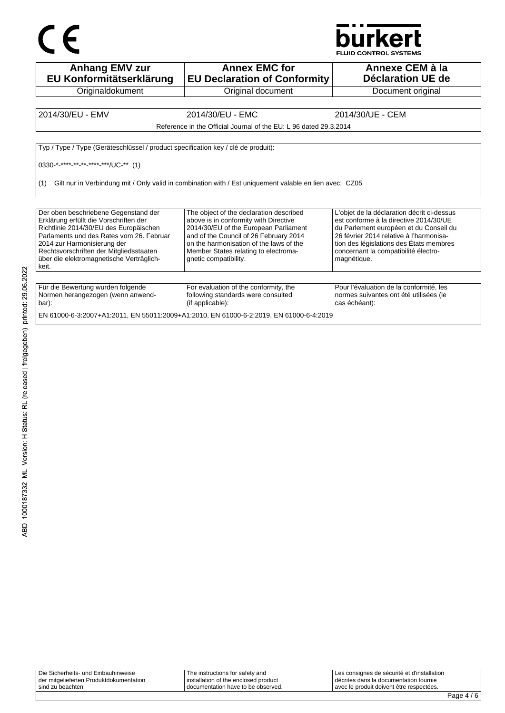



| <b>Anhang EMV zur</b><br>EU Konformitätserklärung                                                                                                                                                                                                                                                   | <b>Annex EMC for</b><br><b>EU Declaration of Conformity</b>                                                                                                                                                                                                                     | Annexe CEM à la<br><b>Déclaration UE de</b>                                                                                                                                                                                                                                 |
|-----------------------------------------------------------------------------------------------------------------------------------------------------------------------------------------------------------------------------------------------------------------------------------------------------|---------------------------------------------------------------------------------------------------------------------------------------------------------------------------------------------------------------------------------------------------------------------------------|-----------------------------------------------------------------------------------------------------------------------------------------------------------------------------------------------------------------------------------------------------------------------------|
| Originaldokument                                                                                                                                                                                                                                                                                    | Original document                                                                                                                                                                                                                                                               | Document original                                                                                                                                                                                                                                                           |
|                                                                                                                                                                                                                                                                                                     |                                                                                                                                                                                                                                                                                 |                                                                                                                                                                                                                                                                             |
| 2014/30/EU - EMV                                                                                                                                                                                                                                                                                    | 2014/30/EU - EMC                                                                                                                                                                                                                                                                | 2014/30/UE - CEM                                                                                                                                                                                                                                                            |
|                                                                                                                                                                                                                                                                                                     | Reference in the Official Journal of the EU: L 96 dated 29.3.2014                                                                                                                                                                                                               |                                                                                                                                                                                                                                                                             |
| Typ / Type / Type (Geräteschlüssel / product specification key / clé de produit):<br>0330-*_****_**_**_****_***/UC-** (1)<br>Gilt nur in Verbindung mit / Only valid in combination with / Est uniquement valable en lien avec: CZ05<br>(1)                                                         |                                                                                                                                                                                                                                                                                 |                                                                                                                                                                                                                                                                             |
| Der oben beschriebene Gegenstand der<br>Erklärung erfüllt die Vorschriften der<br>Richtlinie 2014/30/EU des Europäischen<br>Parlaments und des Rates vom 26. Februar<br>2014 zur Harmonisierung der<br>Rechtsvorschriften der Mitgliedsstaaten<br>über die elektromagnetische Verträglich-<br>keit. | The object of the declaration described<br>above is in conformity with Directive<br>2014/30/EU of the European Parliament<br>and of the Council of 26 February 2014<br>on the harmonisation of the laws of the<br>Member States relating to electroma-<br>qnetic compatibility. | L'objet de la déclaration décrit ci-dessus<br>est conforme à la directive 2014/30/UE<br>du Parlement européen et du Conseil du<br>26 février 2014 relative à l'harmonisa-<br>tion des législations des États membres<br>concernant la compatibilité électro-<br>magnétique. |
| Für die Bewertung wurden folgende<br>Normen herangezogen (wenn anwend-<br>bar):                                                                                                                                                                                                                     | For evaluation of the conformity, the<br>following standards were consulted<br>(if applicable):                                                                                                                                                                                 | Pour l'évaluation de la conformité, les<br>normes suivantes ont été utilisées (le<br>cas échéant):                                                                                                                                                                          |

EN 61000-6-3:2007+A1:2011, EN 55011:2009+A1:2010, EN 61000-6-2:2019, EN 61000-6-4:2019

| Die Sicherheits- und Einbauhinweise<br>der mitgelieferten Produktdokumentation<br>sind zu beachten | The instructions for safety and<br>installation of the enclosed product<br>I documentation have to be observed. | Les consignes de sécurité et d'installation<br>I décrites dans la documentation fournie<br>Lavec le produit doivent être respectées. |  |
|----------------------------------------------------------------------------------------------------|-----------------------------------------------------------------------------------------------------------------|--------------------------------------------------------------------------------------------------------------------------------------|--|
|                                                                                                    |                                                                                                                 |                                                                                                                                      |  |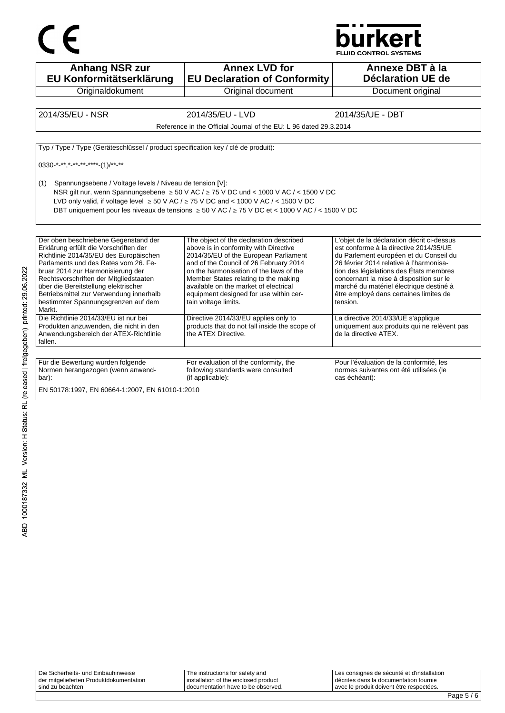



**Anhang NSR zur EU Konformitätserklärung Originaldokument Annex LVD for EU Declaration of Conformity** Original document **Annexe DBT à la Déclaration UE de**  Document original 2014/35/EU - NSR 2014/35/EU - LVD 2014/35/UE - DBT Reference in the Official Journal of the EU: L 96 dated 29.3.2014 Typ / Type / Type (Geräteschlüssel / product specification key / clé de produit): 0330-\*-\*\*,\*-\*\*-\*\*-\*\*\*-(1)/\*\*-\*\* (1) Spannungsebene / Voltage levels / Niveau de tension [V]: NSR gilt nur, wenn Spannungsebene ≥ 50 V AC / ≥ 75 V DC und < 1000 V AC / < 1500 V DC LVD only valid, if voltage level  $\geq 50$  V AC /  $\geq 75$  V DC and < 1000 V AC / < 1500 V DC DBT uniquement pour les niveaux de tensions ≥ 50 V AC / ≥ 75 V DC et < 1000 V AC / < 1500 V DC Der oben beschriebene Gegenstand der Erklärung erfüllt die Vorschriften der Richtlinie 2014/35/EU des Europäischen Parlaments und des Rates vom 26. Februar 2014 zur Harmonisierung der Rechtsvorschriften der Mitgliedstaaten über die Bereitstellung elektrischer Betriebsmittel zur Verwendung innerhalb bestimmter Spannungsgrenzen auf dem Markt. The object of the declaration described above is in conformity with Directive 2014/35/EU of the European Parliament and of the Council of 26 February 2014 on the harmonisation of the laws of the Member States relating to the making available on the market of electrical equipment designed for use within certain voltage limits. L'objet de la déclaration décrit ci-dessus est conforme à la directive 2014/35/UE du Parlement européen et du Conseil du 26 février 2014 relative à l'harmonisation des législations des États membres concernant la mise à disposition sur le marché du matériel électrique destiné à être employé dans certaines limites de tension. Die Richtlinie 2014/33/EU ist nur bei Produkten anzuwenden, die nicht in den Anwendungsbereich der ATEX-Richtlinie fallen. Directive 2014/33/EU applies only to products that do not fall inside the scope of the ATEX Directive. La directive 2014/33/UE s'applique uniquement aux produits qui ne relèvent pas de la directive ATEX. Für die Bewertung wurden folgende Normen herangezogen (wenn anwendbar): For evaluation of the conformity, the following standards were consulted (if applicable): Pour l'évaluation de la conformité, les normes suivantes ont été utilisées (le cas échéant): EN 50178:1997, EN 60664-1:2007, EN 61010-1:2010

| Die Sicherheits- und Einbauhinweise     | The instructions for safety and      | I Les consignes de sécurité et d'installation |
|-----------------------------------------|--------------------------------------|-----------------------------------------------|
| der mitgelieferten Produktdokumentation | installation of the enclosed product | décrites dans la documentation fournie        |
| sind zu beachten                        | I documentation have to be observed. | avec le produit doivent être respectées.      |
|                                         |                                      |                                               |